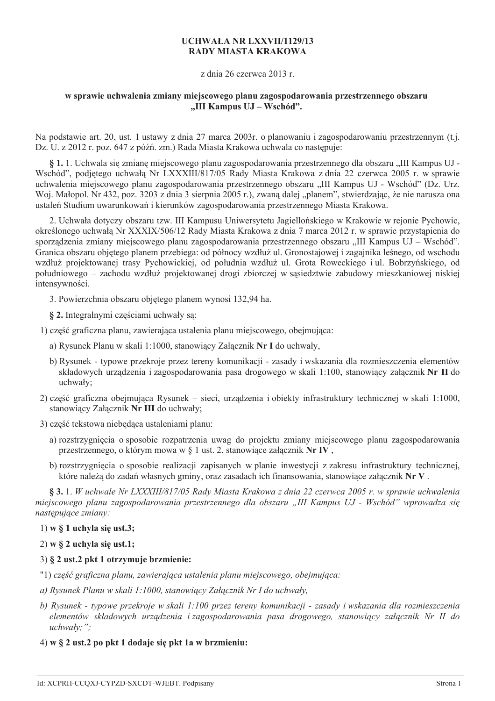# **UCHWAŁA NR LXXVII/1129/13 RADY MIASTA KRAKOWA**

z dnia 26 czerwca 2013 r.

# w sprawie uchwalenia zmiany miejscowego planu zagospodarowania przestrzennego obszaru "III Kampus UJ – Wschód".

Na podstawie art. 20, ust. 1 ustawy z dnia 27 marca 2003r. o planowaniu i zagospodarowaniu przestrzennym (t.j. Dz. U. z 2012 r. poz. 647 z późń. zm.) Rada Miasta Krakowa uchwala co nastepuje:

§ 1. 1. Uchwala się zmianę miejscowego planu zagospodarowania przestrzennego dla obszaru "III Kampus UJ -Wschód", podjętego uchwałą Nr LXXXIII/817/05 Rady Miasta Krakowa z dnia 22 czerwca 2005 r. w sprawie uchwalenia miejscowego planu zagospodarowania przestrzennego obszaru "III Kampus UJ - Wschód" (Dz. Urz. Woj. Małopol. Nr 432, poz. 3203 z dnia 3 sierpnia 2005 r.), zwaną dalej "planem", stwierdzając, że nie narusza ona ustaleń Studium uwarunkowań i kierunków zagospodarowania przestrzennego Miasta Krakowa.

2. Uchwała dotyczy obszaru tzw. III Kampusu Uniwersytetu Jagiellońskiego w Krakowie w rejonie Pychowic, określonego uchwała Nr XXXIX/506/12 Rady Miasta Krakowa z dnia 7 marca 2012 r. w sprawie przystapienia do sporządzenia zmiany miejscowego planu zagospodarowania przestrzennego obszaru "III Kampus UJ – Wschód". Granica obszaru obietego planem przebiega: od północy wzdłuż ul. Gronostajowej i zagajnika leśnego, od wschodu wzdłuż projektowanej trasy Pychowickiej, od południa wzdłuż ul. Grota Roweckiego i ul. Bobrzyńskiego, od południowego – zachodu wzdłuż projektowanej drogi zbiorczej w sasiedztwie zabudowy mieszkaniowej niskiej intensywności.

3. Powierzchnia obszaru obietego planem wynosi 132.94 ha.

§ 2. Integralnymi częściami uchwały sa:

1) część graficzna planu, zawierająca ustalenia planu miejscowego, obejmująca:

- a) Rysunek Planu w skali 1:1000, stanowiący Załącznik Nr I do uchwały,
- b) Rysunek typowe przekroje przez tereny komunikacji zasady i wskazania dla rozmieszczenia elementów składowych urządzenia i zagospodarowania pasa drogowego w skali 1:100, stanowiący załącznik Nr II do uchwały;
- 2) cześć graficzna obejmująca Rysunek sięci, urządzenia i obiekty infrastruktury technicznej w skali 1:1000, stanowiacy Załacznik Nr III do uchwały:

3) część tekstowa niebedaca ustaleniami planu:

- a) rozstrzygnięcia o sposobie rozpatrzenia uwag do projektu zmiany miejscowego planu zagospodarowania przestrzennego, o którym mowa w § 1 ust. 2, stanowiące załącznik Nr IV,
- b) rozstrzygnięcia o sposobie realizacji zapisanych w planie inwestycji z zakresu infrastruktury technicznej, które należą do zadań własnych gminy, oraz zasadach ich finansowania, stanowiące załącznik Nr V.

§ 3.1. W uchwale Nr LXXXIII/817/05 Rady Miasta Krakowa z dnia 22 czerwca 2005 r. w sprawie uchwalenia miejscowego planu zagospodarowania przestrzennego dla obszaru "III Kampus UJ - Wschód" wprowadza sie następujące zmiany:

# $1)$  w § 1 uchyla się ust.3;

 $2)$  w  $\S$  2 uchyla sie ust.1;

# 3) § 2 ust.2 pkt 1 otrzymuje brzmienie:

- "1) część graficzna planu, zawierająca ustalenia planu miejscowego, obejmująca:
- a) Rysunek Planu w skali 1:1000, stanowiący Załącznik Nr I do uchwały,
- b) Rysunek typowe przekroje w skali 1:100 przez tereny komunikacji zasady i wskazania dla rozmieszczenia elementów składowych urządzenia i zagospodarowania pasa drogowego, stanowiący załącznik Nr II do uchwały:":
- $(4)$  w  $\S$  2 ust. 2 po pkt 1 dodaje się pkt 1 a w brzmieniu: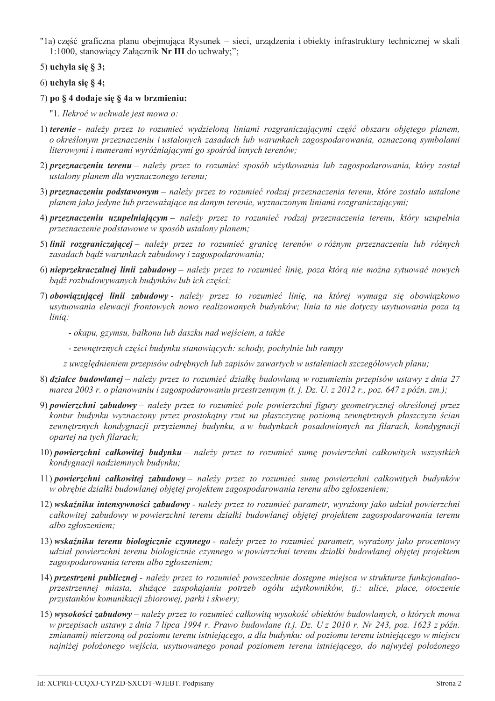- "la) część graficzna planu obejmująca Rysunek sieci, urządzenia i obiekty infrastruktury technicznej w skali 1:1000, stanowiacy Załacznik Nr III do uchwały;":
- 5) uchyla się § 3;
- 6) uchyla się § 4;
- 7) po § 4 dodaje się § 4a w brzmieniu:
	- "1. Ilekroć w uchwale jest mowa o:
- 1) terenie należy przez to rozumieć wydzieloną liniami rozgraniczającymi część obszaru objętego planem, o określonym przeznaczeniu i ustalonych zasadach lub warunkach zagospodarowania, oznaczoną symbolami literowymi i numerami wyróżniającymi go spośród innych terenów;
- 2) przeznaczeniu terenu należy przez to rozumieć sposób użytkowania lub zagospodarowania, który został ustalony planem dla wyznaczonego terenu;
- 3) przeznaczeniu podstawowym należy przez to rozumieć rodzaj przeznaczenia terenu, które zostało ustalone planem jako jedyne lub przeważające na danym terenie, wyznaczonym liniami rozgraniczającymi;
- 4) przeznaczeniu uzupełniającym należy przez to rozumieć rodzaj przeznaczenia terenu, który uzupełnia przeznaczenie podstawowe w sposób ustalony planem;
- 5) linii rozgraniczającej należy przez to rozumieć granicę terenów o różnym przeznaczeniu lub różnych zasadach badź warunkach zabudowy i zagospodarowania;
- 6) nieprzekraczalnej linii zabudowy należy przez to rozumieć linię, poza którą nie można sytuować nowych badź rozbudowywanych budynków lub ich części;
- 7) obowiązującej linii zabudowy należy przez to rozumieć linię, na której wymaga się obowiązkowo usytuowania elewacji frontowych nowo realizowanych budynków; linia ta nie dotyczy usytuowania poza ta linia:
	- okapu, gzymsu, balkonu lub daszku nad wejściem, a także
	- zewnętrznych części budynku stanowiących: schody, pochylnie lub rampy
	- z uwzględnieniem przepisów odrębnych lub zapisów zawartych w ustaleniach szczegółowych planu;
- 8) działce budowlanej należy przez to rozumieć działkę budowlaną w rozumieniu przepisów ustawy z dnia 27 marca 2003 r. o planowaniu i zagospodarowaniu przestrzennym (t. j. Dz. U. z 2012 r., poz. 647 z późn. zm.);
- 9) powierzchni zabudowy należy przez to rozumieć pole powierzchni figury geometrycznej określonej przez kontur budynku wyznaczony przez prostokątny rzut na płaszczyznę poziomą zewnętrznych płaszczyzn ścian zewnętrznych kondygnacji przyziemnej budynku, a w budynkach posadowionych na filarach, kondygnacji opartej na tych filarach;
- 10) powierzchni całkowitej budynku należy przez to rozumieć sumę powierzchni całkowitych wszystkich kondvgnacji nadziemnych budynku;
- 11) powierzchni całkowitej zabudowy należy przez to rozumieć sumę powierzchni całkowitych budynków w obrebie działki budowlanej objetej projektem zagospodarowania terenu albo zgłoszeniem;
- 12) wskaźniku intensywności zabudowy należy przez to rozumieć parametr, wyrażony jako udział powierzchni całkowitej zabudowy w powierzchni terenu działki budowlanej objętej projektem zagospodarowania terenu albo zgłoszeniem;
- 13) wskaźniku terenu biologicznie czynnego należy przez to rozumieć parametr, wyrażony jako procentowy udział powierzchni terenu biologicznie czynnego w powierzchni terenu działki budowlanej objetej projektem zagospodarowania terenu albo zgłoszeniem:
- 14) przestrzeni publicznej należy przez to rozumieć powszechnie dostępne miejsca w strukturze funkcjonalnoprzestrzennej miasta, służące zaspokajaniu potrzeb ogółu użytkowników, tj.: ulice, place, otoczenie przystanków komunikacji zbiorowej, parki i skwery;
- 15) wysokości zabudowy należy przez to rozumieć całkowitą wysokość obiektów budowlanych, o których mowa w przepisach ustawy z dnia 7 lipca 1994 r. Prawo budowlane (t.j. Dz. U z 2010 r. Nr 243, poz. 1623 z późn. zmianami) mierzoną od poziomu terenu istniejącego, a dla budynku: od poziomu terenu istniejącego w miejscu najniżej położonego wejścia, usytuowanego ponad poziomem terenu istniejącego, do najwyżej położonego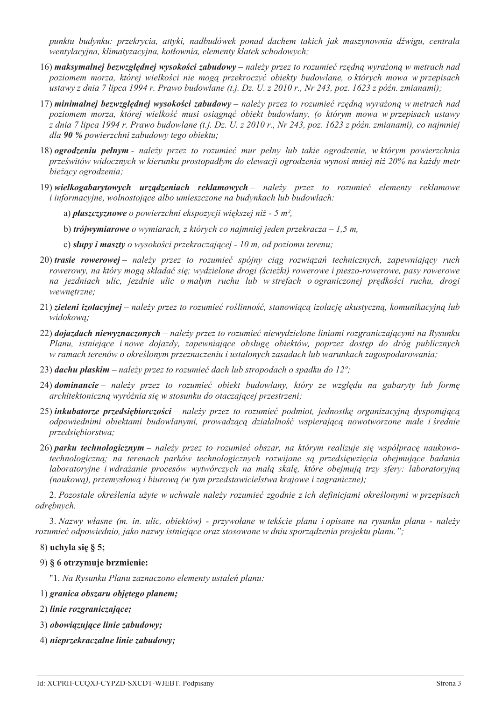punktu budynku: przekrycia, attyki, nadbudówek ponad dachem takich jak maszynownia dźwigu, centrala wentylacyjna, klimatyzacyjna, kotłownia, elementy klatek schodowych;

- 16) maksymalnej bezwzględnej wysokości zabudowy należy przez to rozumieć rzędną wyrażoną w metrach nad poziomem morza, której wielkości nie mogą przekroczyć obiekty budowlane, o których mowa w przepisach ustawy z dnia 7 lipca 1994 r. Prawo budowlane (t.j. Dz. U. z 2010 r., Nr 243, poz. 1623 z późn. zmianami);
- 17) minimalnej bezwzględnej wysokości zabudowy należy przez to rozumieć rzędną wyrażoną w metrach nad poziomem morza, której wielkość musi osiągnąć obiekt budowlany, (o którym mowa w przepisach ustawy z dnia 7 lipca 1994 r. Prawo budowlane (t.j. Dz. U. z 2010 r., Nr 243, poz. 1623 z późn. zmianami), co najmniej dla 90 % powierzchni zabudowy tego obiektu:
- 18) ogrodzeniu pełnym należy przez to rozumieć mur pełny lub takie ogrodzenie, w którym powierzchnia prześwitów widocznych w kierunku prostopadłym do elewacji ogrodzenia wynosi mniej niż 20% na każdy metr bieżący ogrodzenia;
- 19) wielkogabarytowych urządzeniach reklamowych należy przez to rozumieć elementy reklamowe *i* informacyjne, wolnostojące albo umieszczone na budynkach lub budowlach:
	- a) płaszczyznowe o powierzchni ekspozycji większej niż 5 m<sup>2</sup>,
	- b) trójwymiarowe o wymiarach, z których co najmniej jeden przekracza 1,5 m,
	- c) słupy i maszty o wysokości przekraczającej 10 m, od poziomu terenu;
- 20) trasie rowerowej należy przez to rozumieć spójny ciąg rozwiązań technicznych, zapewniający ruch rowerowy, na który moga składać się; wydzielone drogi (ścieżki) rowerowe i pieszo-rowerowe, pasy rowerowe na jezdniach ulic, jezdnie ulic o małym ruchu lub w strefach o ograniczonej prędkości ruchu, drogi wewnetrzne:
- 21) zieleni izolacyjnej należy przez to rozumieć roślinność, stanowiącą izolację akustyczną, komunikacyjną lub widokowa;
- 22) doiazdach niewyznaczonych należy przez to rozumieć niewydzielone liniami rozgraniczającymi na Rysunku Planu, istniejące i nowe dojązdy, zapewniające obsługe objektów, poprzez dostep do dróg publicznych w ramach terenów o określonym przeznaczeniu i ustalonych zasadach lub warunkach zagospodarowania;
- 23) dachu płaskim należy przez to rozumieć dach lub stropodach o spadku do 12°;
- 24) dominancie należy przez to rozumieć obiekt budowlany, który ze względu na gabaryty lub formę architektoniczną wyróżnia się w stosunku do otaczającej przestrzeni;
- 25) inkubatorze przedsiębiorczości należy przez to rozumieć podmiot, jednostkę organizacyjną dysponującą odpowiednimi obiektami budowlanymi, prowadzącą działalność wspierającą nowotworzone małe i średnie przedsiębiorstwa;
- 26) parku technologicznym należy przez to rozumieć obszar, na którym realizuje się współprace naukowotechnologiczną; na terenach parków technologicznych rozwijane są przedsięwzięcia obejmujące badania laboratoryjne i wdrażanie procesów wytwórczych na małą skalę, które obejmują trzy sfery: laboratoryjną (naukowa), przemysłowa i biurowa (w tym przedstawicielstwa krajowe i zagraniczne);

2. Pozostałe określenia użyte w uchwale należy rozumieć zgodnie z ich definicjami określonymi w przepisach odrębnych.

3. Nazwy własne (m. in. ulic, obiektów) - przywołane w tekście planu i opisane na rysunku planu - należy rozumieć odpowiednio, jako nazwy istniejące oraz stosowane w dniu sporządzenia projektu planu.";

## $8)$  uchyla się § 5;

## 9) § 6 otrzymuje brzmienie:

"1. Na Rysunku Planu zaznaczono elementy ustaleń planu:

- 1) granica obszaru objętego planem;
- 2) linie rozgraniczające;
- 3) obowiązujące linie zabudowy;
- 4) nieprzekraczalne linie zabudowy;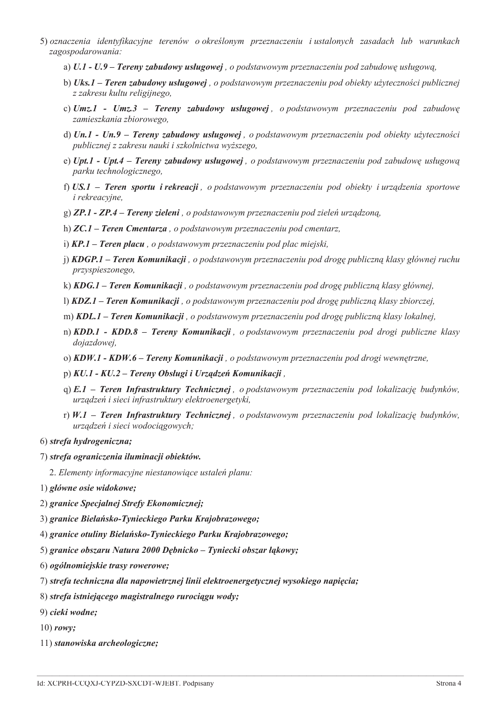- 5) oznaczenia identyfikacyjne terenów o określonym przeznaczeniu i ustalonych zasadach lub warunkach zagospodarowania:
	- a)  $U.1 U.9$  Tereny zabudowy usługowej, o podstawowym przeznaczeniu pod zabudowę usługową,
	- b) Uks.1 Teren zabudowy usługowej, o podstawowym przeznaczeniu pod obiekty użyteczności publicznej z zakresu kultu religijnego,
	- c)  $Umz.1$   $Umz.3$  Tereny zabudowy usługowej, o podstawowym przeznaczeniu pod zabudowę zamieszkania zbiorowego,
	- d)  $Un.1 Un.9 Tereny zabudowy uslugowej, o podstawowym przecnaczeniu pod obiekty użyteczności$ publicznej z zakresu nauki i szkolnictwa wyższego.
	- e) Upt.1 Upt.4 Tereny zabudowy usługowej, o podstawowym przeznaczeniu pod zabudowe usługową parku technologicznego,
	- f)  $US.1$  Teren sportu i rekreacji, o podstawowym przeznaczeniu pod obiekty i urządzenia sportowe *i* rekreacvine.
	- $g$ ) ZP.1 ZP.4 Tereny zieleni, o podstawowym przeznaczeniu pod zieleń urządzoną,
	- h)  $ZC.1$  Teren Cmentarza, o podstawowym przeznaczeniu pod cmentarz,
	- i)  $KP.1$  Teren placu, o podstawowym przeznaczeniu pod plac miejski,
	- i) **KDGP.1 Teren Komunikacji**, o podstawowym przeznaczeniu pod drogę publiczną klasy głównej ruchu przyspieszonego,
	- k) **KDG.1 Teren Komunikacji**, o podstawowym przeznaczeniu pod drogę publiczną klasy głównej,
	- l) **KDZ.1 Teren Komunikacji**, o podstawowym przeznaczeniu pod drogę publiczną klasy zbiorczej,
	- m) KDL.1 Teren Komunikacji, o podstawowym przeznaczeniu pod drogę publiczną klasy lokalnej,
	- n) KDD.1 KDD.8 Tereny Komunikacji, o podstawowym przeznaczeniu pod drogi publiczne klasy dojazdowej,
	- o) KDW.1 KDW.6 Tereny Komunikacji, o podstawowym przeznaczeniu pod drogi wewnętrzne,
	- p) KU.1 KU.2 Tereny Obsługi i Urządzeń Komunikacji,
	- $q$ )  $E, I$  Teren Infrastruktury Technicznej, o podstawowym przeznaczeniu pod lokalizacje budynków. urządzeń i sieci infrastruktury elektroenergetyki,
	- $r \in W$ , I Teren Infrastruktury Technicznej, o podstawowym przeznaczeniu pod lokalizacje budynków, urządzeń i sieci wodociągowych;

#### 6) strefa hydrogeniczna;

#### 7) strefa ograniczenia iluminacji obiektów.

- 2. Elementy informacyjne niestanowiące ustaleń planu:
- 1) główne osie widokowe:
- 2) granice Specjalnej Strefy Ekonomicznej;
- 3) granice Bielańsko-Tynieckiego Parku Krajobrazowego;
- 4) granice otuliny Bielańsko-Tynieckiego Parku Krajobrazowego;
- 5) granice obszaru Natura 2000 Dębnicko Tyniecki obszar łąkowy;
- 6) ogólnomiejskie trasy rowerowe;
- 7) strefa techniczna dla napowietrznej linii elektroenergetycznej wysokiego napięcia;
- 8) strefa istniejącego magistralnego rurociągu wody;
- 9) cieki wodne:
- $10$ ) rowy:
- 11) stanowiska archeologiczne;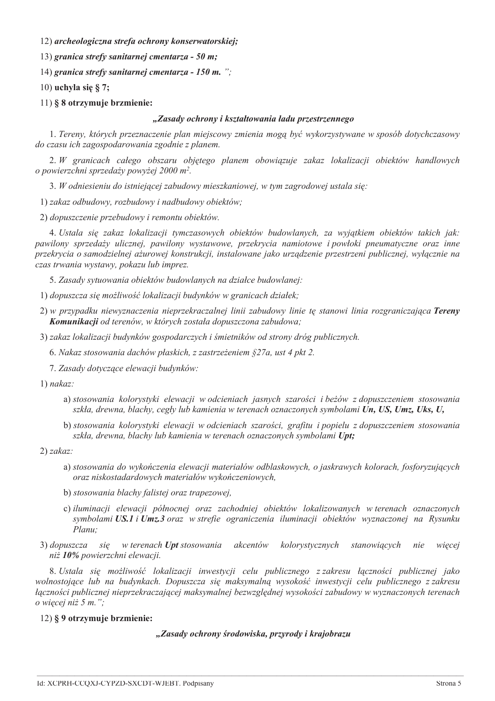12) archeologiczna strefa ochrony konserwatorskiej;

13) granica strefy sanitarnej cmentarza - 50 m;

14) granica strefy sanitarnej cmentarza - 150 m. ";

10) uchyla się  $\S$  7;

11) § 8 otrzymuje brzmienie:

## "Zasady ochrony i kształtowania ładu przestrzennego

1. Tereny, których przeznaczenie plan miejscowy zmienia mogą być wykorzystywane w sposób dotychczasowy do czasu ich zagospodarowania zgodnie z planem.

2. W granicach całego obszaru objetego planem obowiązuje zakaz lokalizacji obiektów handlowych o powierzchni sprzedaży powyżej 2000 m<sup>2</sup>.

3. W odniesieniu do istniejącej zabudowy mieszkaniowej, w tym zagrodowej ustala się:

1) zakaz odbudowy, rozbudowy i nadbudowy obiektów;

2) dopuszczenie przebudowy i remontu obiektów.

4. Ustala się zakaz lokalizacji tymczasowych obiektów budowlanych, za wyjątkiem obiektów takich jak: pawilony sprzedaży ulicznej, pawilony wystawowe, przekrycia namiotowe i powłoki pneumatyczne oraz inne przekrycia o samodzielnej ażurowej konstrukcji, instalowane jako urządzenie przestrzeni publicznej, wyłącznie na czas trwania wystawy, pokazu lub imprez.

5. Zasady sytuowania obiektów budowlanych na działce budowlanej:

1) dopuszcza się możliwość lokalizacji budynków w granicach działek;

2) w przypadku niewyznaczenia nieprzekraczalnej linii zabudowy linie tę stanowi linia rozgraniczająca Tereny Komunikacji od terenów, w których została dopuszczona zabudowa;

3) zakaz lokalizacji budynków gospodarczych i śmietników od strony dróg publicznych.

6. Nakaz stosowania dachów płaskich, z zastrzeżeniem §27a, ust 4 pkt 2.

7. Zasady dotyczące elewacji budynków:

 $1)$  nakaz:

- a) stosowania kolorystyki elewacji w odcieniach jasnych szarości i beżów z dopuszczeniem stosowania szkła, drewna, blachy, cegły lub kamienia w terenach oznaczonych symbolami Un, US, Umz, Uks, U,
- b) stosowania kolorystyki elewacji w odcieniach szarości, grafitu i popielu z dopuszczeniem stosowania szkła, drewna, blachy lub kamienia w terenach oznaczonych symbolami Upt;

 $2)$  zakaz:

- a) stosowania do wykończenia elewacji materiałów odblaskowych, o jaskrawych kolorach, fosforyzujących oraz niskostadardowych materiałów wykończeniowych,
- b) stosowania blachy falistej oraz trapezowej,
- c) iluminacji elewacji północnej oraz zachodniej obiektów lokalizowanych w terenach oznaczonych symbolami US.1 i Umz.3 oraz w strefie ograniczenia iluminacji obiektów wyznaczonej na Rysunku Planu:
- 3) dopuszcza się w terenach Upt stosowania akcentów kolorystycznych stanowiacych więcej nie niż 10% powierzchni elewacji.

8. Ustala się możliwość lokalizacji inwestycji celu publicznego z zakresu łączności publicznej jako wolnostojące lub na budynkach. Dopuszcza się maksymalna wysokość inwestycji celu publicznego z zakresu łączności publicznej nieprzekraczającej maksymalnej bezwzględnej wysokości zabudowy w wyznaczonych terenach o wiecej niż  $5$  m.":

12) § 9 otrzymuje brzmienie:

## "Zasady ochrony środowiska, przyrody i krajobrazu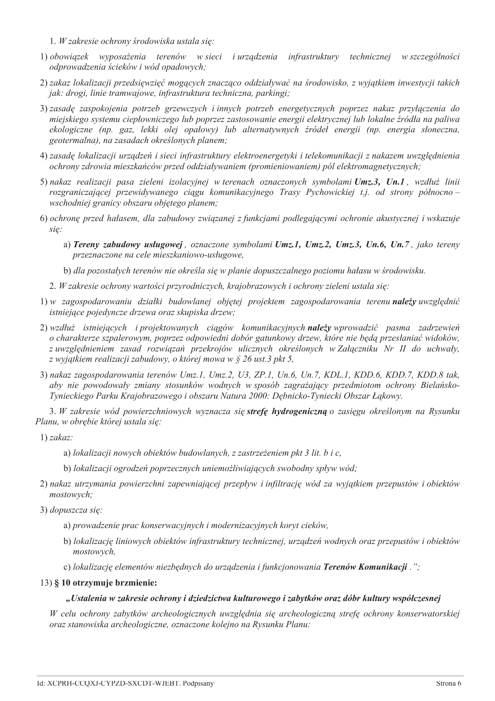- 1. W zakresie ochrony środowiska ustala się:
- 1) obowiązek wyposażenia terenów w sieci i urządzenia infrastruktury technicznej w szczególności odprowadzenia ścieków i wód opadowych;
- 2) zakaz lokalizacji przedsięwzięć mogących znacząco oddziaływać na środowisko, z wyjątkiem inwestycji takich jak: drogi, linie tramwajowe, infrastruktura techniczna, parkingi;
- 3) zasadę zaspokojenia potrzeb grzewczych i innych potrzeb energetycznych poprzez nakaz przyłączenia do miejskiego systemu ciepłowniczego lub poprzez zastosowanie energii elektrycznej lub lokalne źródła na paliwa ekologiczne (np. gaz, lekki olej opałowy) lub alternatywnych źródeł energii (np. energia słoneczna, geotermalna), na zasadach określonych planem:
- 4) zasadę lokalizacji urządzeń i sieci infrastruktury elektroenergetyki i telekomunikacji z nakazem uwzględnienia ochrony zdrowia mieszkańców przed oddziaływaniem (promieniowaniem) pól elektromagnetycznych;
- 5) nakaz realizacji pasa zieleni izolacyjnej w terenach oznaczonych symbolami Umz.3, Un.1, wzdłuż linii rozgraniczającej przewidywanego ciągu komunikacyjnego Trasy Pychowickiej t.j. od strony północnowschodniej granicy obszaru objętego planem;
- 6) ochronę przed hałasem, dla zabudowy związanej z funkcjami podlegającymi ochronie akustycznej i wskazuje się:
	- a) Tereny zabudowy usługowej, oznaczone symbolami Umz.1, Umz.2, Umz.3, Un.6, Un.7, jako tereny przeznaczone na cele mieszkaniowo-usługowe,

b) dla pozostałych terenów nie określa się w planie dopuszczalnego poziomu hałasu w środowisku.

- 2. W zakresie ochrony wartości przyrodniczych, krajobrazowych i ochrony zieleni ustala się:
- 1) w zagospodarowaniu działki budowlanej objętej projektem zagospodarowania terenu należy uwzględnić istniejące pojedyncze drzewa oraz skupiska drzew;
- 2) wzdłuż istniejących i projektowanych ciągów komunikacyjnych należy wprowadzić pasma zadrzewień o charakterze szpalerowym, poprzez odpowiedni dobór gatunkowy drzew, które nie będą przesłaniać widoków, z uwzględnieniem zasad rozwiązań przekrojów ulicznych określonych w Załączniku Nr II do uchwały, z wyjątkiem realizacji zabudowy, o której mowa w § 26 ust.3 pkt 5,
- 3) nakaz zagospodarowania terenów Umz.1, Umz.2, U3, ZP.1, Un.6, Un.7, KDL.1, KDD.6, KDD.7, KDD.8 tak, aby nie powodowały zmiany stosunków wodnych w sposób zagrażający przedmiotom ochrony Bielańsko-Tynieckiego Parku Krajobrazowego i obszaru Natura 2000: Dębnicko-Tyniecki Obszar Łąkowy.

3. W zakresie wód powierzchniowych wyznacza się strefę hydrogeniczną o zasięgu określonym na Rysunku Planu, w obrębie której ustala się:

- $1) zakaz$ :
	- a) lokalizacji nowych obiektów budowlanych, z zastrzeżeniem pkt 3 lit. b i c.
	- b) lokalizacji ogrodzeń poprzecznych uniemożliwiających swobodny spływ wód;
- 2) nakaz utrzymania powierzchni zapewniającej przepływ i infiltrację wód za wyjątkiem przepustów i obiektów mostowych;
- 3) dopuszcza się:
	- a) prowadzenie prac konserwacyjnych i modernizacyjnych koryt cieków,
	- b) lokalizację liniowych obiektów infrastruktury technicznej, urządzeń wodnych oraz przepustów i obiektów mostowych.
	- c) lokalizację elementów niezbędnych do urządzenia i funkcjonowania Terenów Komunikacji.";

## 13) § 10 otrzymuje brzmienie:

# "Ustalenia w zakresie ochrony i dziedzictwa kulturowego i zabytków oraz dóbr kultury współczesnej

W celu ochrony zabytków archeologicznych uwzględnia się archeologiczną strefę ochrony konserwatorskiej oraz stanowiska archeologiczne, oznaczone kolejno na Rysunku Planu: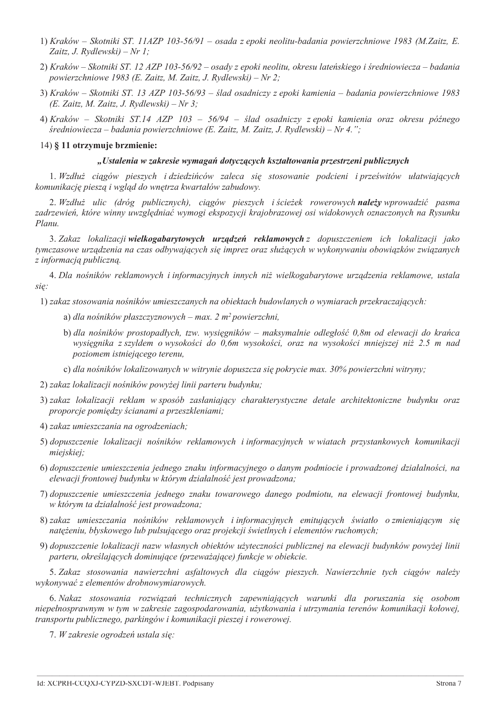- 1) Kraków Skotniki ST. 11AZP 103-56/91 osada z epoki neolitu-badania powierzchniowe 1983 (M.Zaitz, E. Zaitz, J. Rydlewski $) - Nr 1$ :
- 2) Kraków Skotniki ST. 12 AZP 103-56/92 osady z epoki neolitu, okresu lateńskiego i średniowiecza badania powierzchniowe 1983 (E. Zaitz, M. Zaitz, J. Rydlewski) – Nr 2;
- 3) Kraków Skotniki ST. 13 AZP 103-56/93 ślad osadniczy z epoki kamienia badania powierzchniowe 1983 (E. Zaitz, M. Zaitz, J. Rydlewski) – Nr 3;
- 4) Kraków Skotniki ST.14 AZP 103 56/94 ślad osadniczy z epoki kamienia oraz okresu późnego średniowiecza – badania powierzchniowe (E. Zaitz, M. Zaitz, J. Rydlewski) – Nr 4.";

## 14) § 11 otrzymuie brzmienie:

## "Ustalenia w zakresie wymagań dotyczących kształtowania przestrzeni publicznych

1. Wzdłuż ciągów pieszych i dziedzińców zaleca się stosowanie podcieni i prześwitów ułatwiających komunikację pieszą i wgląd do wnętrza kwartałów zabudowy.

2. Wzdłuż ulic (dróg publicznych), ciągów pieszych i ścieżek rowerowych należy wprowadzić pasma zadrzewień, które winny uwzględniać wymogi ekspozycji krajobrazowej osi widokowych oznaczonych na Rysunku Planu.

3. Zakaz lokalizacji wielkogabarytowych urządzeń reklamowych z dopuszczeniem ich lokalizacji jako tymczasowe urządzenia na czas odbywających się imprez oraz służących w wykonywaniu obowiązków związanych z informacją publiczną.

4. Dla nośników reklamowych i informacyjnych innych niż wielkogabarytowe urządzenia reklamowe, ustala się:

1) zakaz stosowania nośników umieszczanych na obiektach budowlanych o wymiarach przekraczających:

- a) dla nośników płaszczyznowych max. 2 m<sup>2</sup> powierzchni,
- b) dla nośników prostopadłych, tzw. wysięgników maksymalnie odległość 0,8m od elewacji do krańca wysięgnika z szyldem o wysokości do 0,6m wysokości, oraz na wysokości mniejszej niż 2.5 m nad poziomem istniejącego terenu,
- c) dla nośników lokalizowanych w witrynie dopuszcza się pokrycie max. 30% powierzchni witryny;
- 2) zakaz lokalizacji nośników powyżej linii parteru budynku;
- 3) zakaz lokalizacji reklam w sposób zasłaniający charakterystyczne detale architektoniczne budynku oraz proporcje pomiędzy ścianami a przeszkleniami;
- 4) zakaz umieszczania na ogrodzeniach;
- 5) dopuszczenie lokalizacji nośników reklamowych i informacyjnych w wiatach przystankowych komunikacji miejskiej:
- 6) dopuszczenie umieszczenia jednego znaku informacyjnego o danym podmiocie i prowadzonej działalności, na elewacji frontowej budynku w którym działalność jest prowadzona;
- 7) dopuszczenie umieszczenia jednego znaku towarowego danego podmiotu, na elewacji frontowej budynku, w którym ta działalność jest prowadzona;
- 8) zakaz umieszczania nośników reklamowych i informacyjnych emitujących światło o zmieniającym się natężeniu, błyskowego lub pulsującego oraz projekcji świetlnych i elementów ruchomych;
- 9) dopuszczenie lokalizacji nazw własnych obiektów użyteczności publicznej na elewacji budynków powyżej linii parteru, określających dominujące (przeważające) funkcje w obiekcie.

5. Zakaz stosowania nawierzchni asfaltowych dla ciągów pieszych. Nawierzchnie tych ciągów należy wykonywać z elementów drobnowymiarowych.

6. Nakaz stosowania rozwiązań technicznych zapewniających warunki dla poruszania się osobom niepełnosprawnym w tym w zakresie zagospodarowania, użytkowania i utrzymania terenów komunikacji kołowej, transportu publicznego, parkingów i komunikacji pieszej i rowerowej.

7. W zakresie ogrodzeń ustala się: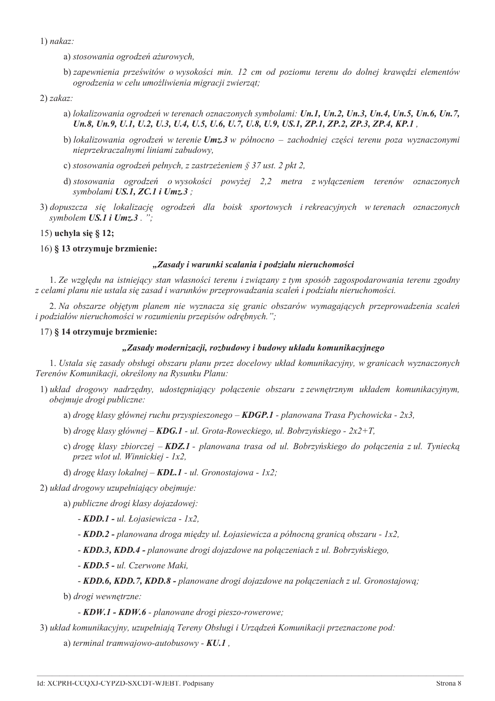$1)$  nakaz:

- a) stosowania ogrodzeń ażurowych,
- b) zapewnienia prześwitów o wysokości min. 12 cm od poziomu terenu do dolnej krawedzi elementów ogrodzenia w celu umożliwienia migracji zwierząt;

 $2) zakaz$ 

- a) lokalizowania ogrodzeń w terenach oznaczonych symbolami: Un.1, Un.2, Un.3, Un.4, Un.5, Un.6, Un.7, Un.8, Un.9, U.1, U.2, U.3, U.4, U.5, U.6, U.7, U.8, U.9, US.1, ZP.1, ZP.2, ZP.3, ZP.4, KP.1,
- b) lokalizowania ogrodzeń w terenie  $Umz.3$  w północno zachodniej części terenu poza wyznaczonymi nieprzekraczalnymi liniami zabudowy,
- c) stosowania ogrodzeń pełnych, z zastrzeżeniem § 37 ust. 2 pkt 2,
- d) stosowania ogrodzeń o wysokości powyżej 2,2 metra z wyłączeniem terenów oznaczonych symbolami US.1, ZC.1 i Umz.3;
- 3) dopuszcza się lokalizację ogrodzeń dla bojsk sportowych i rekreacyjnych w terenach oznaczonych symbolem  $US.1$  i  $Umz.3$ .";

15) uchyla się § 12;

16) § 13 otrzymuje brzmienie:

# "Zasady i warunki scalania i podziału nieruchomości

1. Ze wzgledu na istniejący stan własności terenu i związany z tym sposób zagospodarowania terenu zgodny z celami planu nie ustala się zasad i warunków przeprowadzania scaleń i podziału nieruchomości.

2. Na obszarze objetym planem nie wyznacza się granic obszarów wymagających przeprowadzenia scaleń i podziałów nieruchomości w rozumieniu przepisów odrębnych.";

# 17) § 14 otrzymuje brzmienie:

# "Zasady modernizacji, rozbudowy i budowy układu komunikacyjnego

1. Ustala się zasady obsługi obszaru planu przez docelowy układ komunikacyjny, w granicach wyznaczonych Terenów Komunikacji, określony na Rysunku Planu:

- 1) układ drogowy nadrzędny, udostępniający połączenie obszaru z zewnętrznym układem komunikacyjnym, obejmuje drogi publiczne:
	- a) droge klasy głównej ruchu przyspieszonego **KDGP.1** planowana Trasa Pychowicka 2x3.
	- b) drogę klasy głównej **KDG.1 -** ul. Grota-Roweckiego, ul. Bobrzyńskiego  $2x2+T$ ,
	- c) drogę klasy zbiorczej KDZ.1 planowana trasa od ul. Bobrzyńskiego do połączenia z ul. Tyniecką przez wlot ul. Winnickiej - 1x2,
	- d) drogę klasy lokalnej **KDL.1** ul. Gronostajowa 1x2:

2) układ drogowy uzupełniający obejmuje:

a) publiczne drogi klasy dojazdowej:

- $KDD.1$  ul. Łojasiewicza 1x2,
- KDD.2 planowana droga miedzy ul. Łojasiewicza a północna granica obszaru 1x2.
- KDD.3, KDD.4 planowane drogi dojazdowe na połączeniach z ul. Bobrzyńskiego,
- KDD.5 ul. Czerwone Maki,
- KDD.6, KDD.7, KDD.8 planowane drogi dojazdowe na połączeniach z ul. Gronostajową;

b) drogi wewnętrzne:

- KDW.1 - KDW.6 - planowane drogi pieszo-rowerowe;

3) układ komunikacyjny, uzupełniają Tereny Obsługi i Urządzeń Komunikacji przeznaczone pod:

a) terminal tramwajowo-autobusowy -  $KU.1$ ,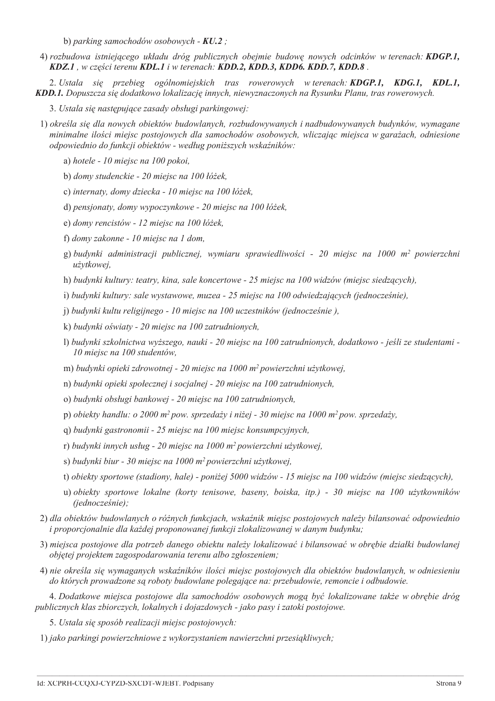b) parking samochodów osobowych -  $KU.2$ ;

4) rozbudowa istniejącego układu dróg publicznych obejmie budowę nowych odcinków w terenach: KDGP.1, KDZ.1, w części terenu KDL.1 i w terenach: KDD.2, KDD.3, KDD6, KDD.7, KDD.8.

2. Ustala się przebieg ogólnomiejskich tras rowerowych wterenach: **KDGP.1, KDG.1, KDL.1,** KDD.1. Dopuszcza się dodatkowo lokalizację innych, niewyznaczonych na Rysunku Planu, tras rowerowych.

- 3. Ustala się następujące zasady obsługi parkingowej:
- 1) określa się dla nowych obiektów budowlanych, rozbudowywanych i nadbudowywanych budynków, wymagane minimalne ilości miejsc postojowych dla samochodów osobowych, wliczając miejsca w garażach, odniesione odpowiednio do funkcji obiektów - według poniższych wskaźników:
	- a) hotele 10 miejsc na 100 pokoi,
	- b) domy studenckie 20 miejsc na 100 łóżek,
	- c) internaty, domy dziecka 10 miejsc na 100 łóżek,
	- d) pensionaty, domy wypoczynkowe 20 miejsc na 100 łóżek,
	- e) domy rencistów 12 miejsc na 100 łóżek,
	- f) domy zakonne 10 miejsc na 1 dom,
	- g) budynki administracji publicznej, wymiaru sprawiedliwości 20 miejsc na 1000 m<sup>2</sup> powierzchni użytkowei.
	- h) budynki kultury: teatry, kina, sale koncertowe 25 miejsc na 100 widzów (miejsc siedzących),
	- i) budynki kultury: sale wystawowe, muzea 25 miejsc na 100 odwiedzających (jednocześnie),
	- j) budynki kultu religijnego 10 miejsc na 100 uczestników (jednocześnie),
	- k) budynki oświaty 20 miejsc na 100 zatrudnionych,
	- 1) budynki szkolnictwa wyższego, nauki 20 miejsc na 100 zatrudnionych, dodatkowo jeśli ze studentami -10 miejsc na 100 studentów,
	- m) budynki opieki zdrowotnej 20 miejsc na 1000 m<sup>2</sup> powierzchni użytkowej,
	- n) budynki opieki społecznej i socjalnej 20 miejsc na 100 zatrudnionych,
	- o) budynki obsługi bankowej 20 miejsc na 100 zatrudnionych,
	- p) obiekty handlu: o 2000 m<sup>2</sup> pow. sprzedaży i niżej 30 miejsc na 1000 m<sup>2</sup> pow. sprzedaży,
	- q) budynki gastronomii 25 miejsc na 100 miejsc konsumpcyjnych,
	- r) budynki innych usług 20 miejsc na 1000 m<sup>2</sup> powierzchni użytkowej,
	- s) budynki biur 30 miejsc na 1000 m<sup>2</sup> powierzchni użytkowej,
	- t) obiekty sportowe (stadiony, hale) poniżej 5000 widzów 15 miejsc na 100 widzów (miejsc siedzących),
	- u) obiekty sportowe lokalne (korty tenisowe, baseny, boiska, itp.) 30 miejsc na 100 użytkowników (jednocześnie);
- 2) dla obiektów budowlanych o różnych funkcjach, wskaźnik miejsc postojowych należy bilansować odpowiednio i proporcjonalnie dla każdej proponowanej funkcji zlokalizowanej w danym budynku;
- 3) miejsca postojowe dla potrzeb danego obiektu należy lokalizować i bilansować w obrebie działki budowlanej objętej projektem zagospodarowania terenu albo zgłoszeniem;
- 4) nie określa się wymaganych wskaźników ilości miejsc postojowych dla obiektów budowlanych, w odniesieniu do których prowadzone są roboty budowlane polegające na: przebudowie, remoncie i odbudowie.

4. Dodatkowe miejsca postojowe dla samochodów osobowych mogą być lokalizowane także w obrębie dróg publicznych klas zbiorczych, lokalnych i dojazdowych - jako pasy i zatoki postojowe.

5. Ustala się sposób realizacji miejsc postojowych:

1) jako parkingi powierzchniowe z wykorzystaniem nawierzchni przesiąkliwych;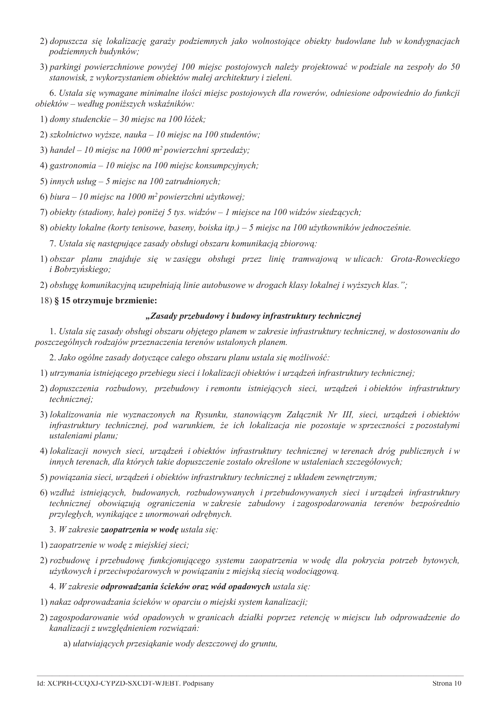- 2) dopuszcza się lokalizację garaży podziemnych jako wolnostojące obiekty budowlane lub w kondygnacjach podziemnych budynków:
- 3) parkingi powierzchniowe powyżej 100 miejsc postojowych należy projektować w podziale na zespoły do 50 stanowisk, z wykorzystaniem obiektów małej architektury i zieleni.

6. Ustala się wymagane minimalne ilości miejsc postojowych dla rowerów, odniesione odpowiednio do funkcji obiektów – według poniższych wskaźników:

1) domy studenckie – 30 miejsc na 100 łóżek;

- 2) szkolnictwo wyższe, nauka 10 miejsc na 100 studentów;
- 3) handel 10 miejsc na 1000 m<sup>2</sup> powierzchni sprzedaży;
- 4) gastronomia 10 miejsc na 100 miejsc konsumpcyjnych;
- 5) innych usług 5 miejsc na 100 zatrudnionych;
- 6) biura 10 miejsc na 1000 m<sup>2</sup> powierzchni użytkowej;
- 7) obiekty (stadiony, hale) poniżej 5 tys. widzów 1 miejsce na 100 widzów siedzących;
- 8) obiekty lokalne (korty tenisowe, baseny, boiska itp.) 5 miejsc na 100 użytkowników jednocześnie.
	- 7. Ustala się następujące zasady obsługi obszaru komunikacją zbiorową:
- 1) obszar planu znajduje się w zasięgu obsługi przez linię tramwajową w ulicach: Grota-Roweckiego *i* Bobrzyńskiego:

2) obsługę komunikacyjną uzupełniają linie autobusowe w drogach klasy lokalnej i wyższych klas.";

## 18) § 15 otrzymuje brzmienie:

# "Zasady przebudowy i budowy infrastruktury technicznej

1. Ustala się zasady obsługi obszaru objętego planem w zakresie infrastruktury technicznej, w dostosowaniu do poszczególnych rodzajów przeznaczenia terenów ustalonych planem.

2. Jako ogólne zasady dotyczące całego obszaru planu ustala się możliwość:

- 1) utrzymania istniejącego przebiegu sieci i lokalizacji obiektów i urządzeń infrastruktury technicznej;
- 2) dopuszczenia rozbudowy, przebudowy i remontu istniejących sieci, urządzeń i obiektów infrastruktury technicznej;
- 3) lokalizowania nie wyznaczonych na Rysunku, stanowiącym Załącznik Nr III, sieci, urządzeń i obiektów infrastruktury technicznej, pod warunkiem, że ich lokalizacja nie pozostaje w sprzeczności z pozostałymi ustaleniami planu;
- 4) lokalizacji nowych sieci, urządzeń i obiektów infrastruktury technicznej w terenach dróg publicznych i w innych terenach, dla których takie dopuszczenie zostało określone w ustaleniach szczegółowych;
- 5) powiązania sieci, urządzeń i obiektów infrastruktury technicznej z układem zewnętrznym;
- 6) wzdłuż istniejących, budowanych, rozbudowywanych i przebudowywanych sieci i urządzeń infrastruktury technicznej obowiązują ograniczenia wzakresie zabudowy izagospodarowania terenów bezpośrednio przyległych, wynikające z unormowań odrębnych.
	- 3. W zakresie zaopatrzenia w wodę ustala się:
- 1) zaopatrzenie w wodę z miejskiej sieci;
- 2) rozbudowe i przebudowe funkcjonującego systemu zaopatrzenia w wodę dla pokrycia potrzeb bytowych, użytkowych i przeciwpożarowych w powiązaniu z miejską siecią wodociągową.
	- 4. W zakresie odprowadzania ścieków oraz wód opadowych ustala się:
- 1) nakaz odprowadzania ścieków w oparciu o miejski system kanalizacji;
- 2) zagospodarowanie wód opadowych w granicach działki poprzez retencję w miejscu lub odprowadzenie do kanalizacji z uwzględnieniem rozwiązań:
	- a) ułatwiających przesiąkanie wody deszczowej do gruntu,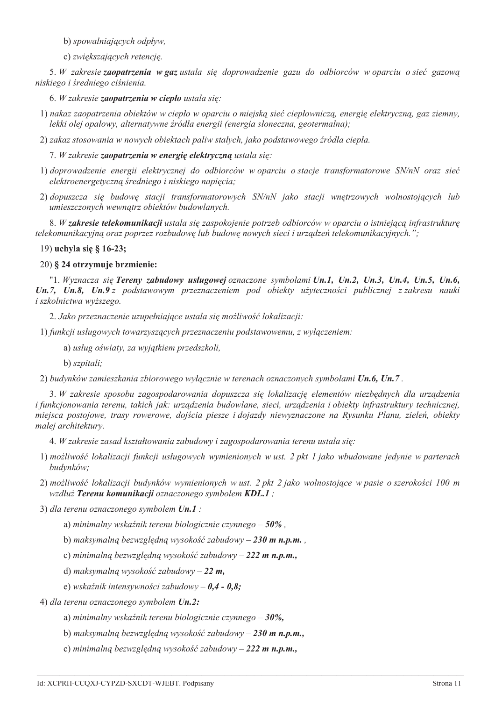b) spowalniających odpływ,

c) zwiększających retencję.

5. W zakresie zaopatrzenia w gaz ustala sie doprowadzenie gazu do odbiorców w oparciu o sieć gazowa niskiego i średniego ciśnienia.

6. W zakresie zaopatrzenia w ciepło ustala się:

1) nakaz zaopatrzenia obiektów w ciepło w oparciu o miejską sieć ciepłowniczą, energię elektryczną, gaz ziemny, lekki olej opałowy, alternatywne źródła energii (energia słoneczna, geotermalna);

2) zakaz stosowania w nowych obiektach paliw stałych, jako podstawowego źródła ciepła.

7. W zakresie zaopatrzenia w energię elektryczną ustala się:

- 1) doprowadzenie energii elektrycznej do odbiorców w oparciu o stacje transformatorowe SN/nN oraz sieć elektroenergetyczną średniego i niskiego napięcia;
- 2) dopuszcza się budowę stacji transformatorowych SN/nN jako stacji wnętrzowych wolnostojących lub umieszczonych wewnątrz obiektów budowlanych.

8. W zakresie telekomunikacji ustala się zaspokojenie potrzeb odbiorców w oparciu o istniejącą infrastrukturę telekomunikacyjną oraz poprzez rozbudowę lub budowę nowych sieci i urządzeń telekomunikacyjnych.";

19) uchyla się § 16-23;

#### 20) § 24 otrzymuje brzmienie:

"1. Wyznacza sie Tereny zabudowy usługowej oznaczone symbolami Un.1, Un.2, Un.3, Un.4, Un.5, Un.6, Un.7, Un.8, Un.9 z podstawowym przeznaczeniem pod obiekty użyteczności publicznej z zakresu nauki i szkolnictwa wyższego.

2. Jako przeznaczenie uzupełniające ustala się możliwość lokalizacji:

1) funkcji usługowych towarzyszących przeznaczeniu podstawowemu, z wyłączeniem:

- a) usług oświaty, za wyjątkiem przedszkoli,
- b) szpitali:

2) budynków zamieszkania zbiorowego wyłacznie w terenach oznaczonych symbolami Un.6, Un.7.

3. W zakresie sposobu zagospodarowania dopuszcza się lokalizację elementów niezbędnych dla urządzenia i funkcjonowania terenu, takich jak: urządzenia budowlane, sieci, urządzenia i obiekty infrastruktury technicznej, miejsca postojowe, trasy rowerowe, dojścia piesze i dojazdy niewyznaczone na Rysunku Planu, zieleń, obiekty małej architektury.

4. W zakresie zasad kształtowania zabudowy i zagospodarowania terenu ustala się:

- 1) możliwość lokalizacji funkcji usługowych wymienionych w ust. 2 pkt 1 jako wbudowane jedynie w parterach budynków;
- 2) możliwość lokalizacji budynków wymienionych w ust. 2 pkt 2 jako wolnostojące w pasie o szerokości 100 m wzdłuż Terenu komunikacji oznaczonego symbolem KDL.1;
- 3) dla terenu oznaczonego symbolem Un.1 :

a) minimalny wskaźnik terenu biologicznie czynnego  $-50\%$ .

b) maksymalną bezwzględną wysokość zabudowy – 230 m n.p.m.,

c) minimalną bezwzględną wysokość zabudowy - 222 m n.p.m.,

d) maksymalną wysokość zabudowy – 22 m,

e) wskaźnik intensywności zabudowy –  $0.4 - 0.8$ ;

4) dla terenu oznaczonego symbolem Un.2:

a) minimalny wskaźnik terenu biologicznie czynnego –  $30\%$ .

b) maksymalną bezwzględną wysokość zabudowy – 230 m n.p.m.,

c) minimalną bezwzględną wysokość zabudowy – 222 m n.p.m.,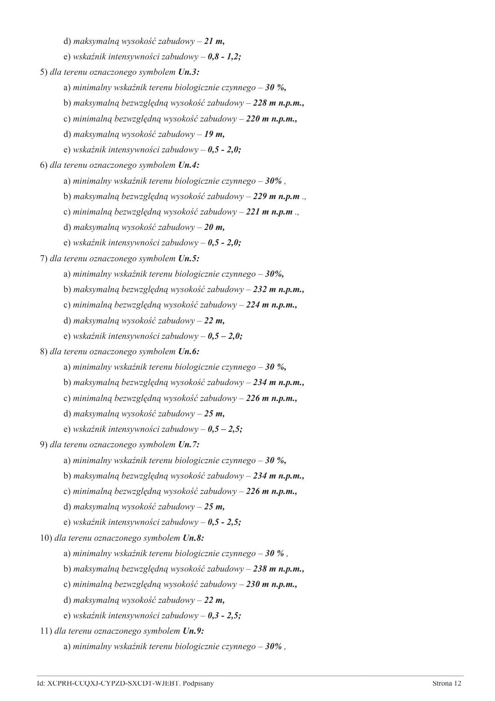d) maksymalną wysokość zabudowy – 21 m,

e) wskaźnik intensywności zabudowy –  $0,8$  - 1,2;

5) dla terenu oznaczonego symbolem Un.3:

a) minimalny wskaźnik terenu biologicznie czynnego – 30 %.

b) maksymalną bezwzględną wysokość zabudowy - 228 m n.p.m.,

- c) minimalną bezwzględną wysokość zabudowy 220 m n.p.m.,
- d) maksymalną wysokość zabudowy 19 m,
- e) wskaźnik intensywności zabudowy  $0.5 2.0$ ;

6) dla terenu oznaczonego symbolem Un.4:

- a) minimalny wskaźnik terenu biologicznie czynnego  $-30\%$ .
- b) maksymalna bezwzględna wysokość zabudowy 229 m n.p.m ..
- c) minimalną bezwzględną wysokość zabudowy 221 m n.p.m.,
- d) maksymalną wysokość zabudowy 20 m,
- e) wskaźnik intensywności zabudowy  $0.5 2.0$ ;

7) dla terenu oznaczonego symbolem Un.5:

- a) minimalny wskaźnik terenu biologicznie czynnego  $-30\%$ .
- b) maksymalną bezwzględną wysokość zabudowy 232 m n.p.m.
- c) minimalną bezwzględną wysokość zabudowy 224 m n.p.m.,
- d) maksymalną wysokość zabudowy 22 m,
- e) wskaźnik intensywności zabudowy  $0.5 2.0$ ;

8) dla terenu oznaczonego symbolem Un.6:

- a) minimalny wskaźnik terenu biologicznie czynnego 30 %,
- b) maksymalną bezwzględną wysokość zabudowy 234 m n.p.m.,
- c) minimalną bezwzględną wysokość zabudowy 226 m n.p.m.,
- d) maksymalną wysokość zabudowy 25 m,
- e) wskaźnik intensywności zabudowy  $0,5 2,5$ ;

9) dla terenu oznaczonego symbolem Un.7:

- a) minimalny wskaźnik terenu biologicznie czynnego 30 %.
- b) maksymalną bezwzględną wysokość zabudowy 234 m n.p.m.,
- c) minimalną bezwzględną wysokość zabudowy 226 m n.p.m.,
- d) maksymalną wysokość zabudowy 25 m,
- e) wskaźnik intensywności zabudowy  $0.5 2.5$ ;

10) dla terenu oznaczonego symbolem Un.8:

- a) minimalny wskaźnik terenu biologicznie czynnego 30 %.
- b) maksymalną bezwzględną wysokość zabudowy 238 m n.p.m.,
- c) minimalną bezwzględną wysokość zabudowy 230 m n.p.m.,
- d) maksymalna wysokość zabudowy 22 m,
- e) wskaźnik intensywności zabudowy  $0,3$  2,5;
- 11) dla terenu oznaczonego symbolem Un.9:
	- a) minimalny wskaźnik terenu biologicznie czynnego  $-30\%$ ,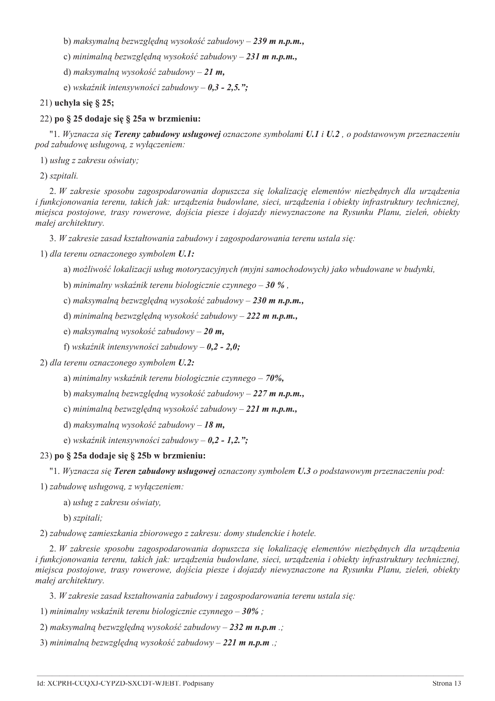b) maksymalną bezwzględną wysokość zabudowy – 239 m n.p.m.,

c) minimalną bezwzględną wysokość zabudowy – 231 m n.p.m.,

d) maksymalna wysokość zabudowy – 21 m.

e) wskaźnik intensywności zabudowy –  $0.3$  -  $2.5$ ."

## 21) uchyla się § 25;

# 22) po § 25 dodaje się § 25a w brzmieniu:

"1. Wyznacza się Tereny zabudowy usługowej oznaczone symbolami U.1 i U.2, o podstawowym przeznaczeniu pod zabudowę usługową, z wyłączeniem:

1) usług z zakresu oświaty;

2) szpitali.

2. W zakresie sposobu zagospodarowania dopuszcza się lokalizację elementów niezbędnych dla urządzenia i funkcjonowania terenu, takich jak: urządzenia budowlane, sieci, urządzenia i obiekty infrastruktury technicznej, miejsca postojowe, trasy rowerowe, dojścia piesze i dojazdy niewyznaczone na Rysunku Planu, zieleń, obiekty małej architektury.

3. W zakresie zasad kształtowania zabudowy i zagospodarowania terenu ustala się:

1) dla terenu oznaczonego symbolem U.1:

a) możliwość lokalizacji usług motoryzacyjnych (myjni samochodowych) jako wbudowane w budynki.

b) minimalny wskaźnik terenu biologicznie czynnego – 30 %,

c) maksymalną bezwzględną wysokość zabudowy - 230 m n.p.m.,

d) minimalna bezwzględna wysokość zabudowy – 222 m n.p.m.,

e) maksymalną wysokość zabudowy – 20 m,

f) wskaźnik intensywności zabudowy –  $0,2$  -  $2,0$ ;

2) dla terenu oznaczonego symbolem U.2:

a) minimalny wskaźnik terenu biologicznie czynnego – 70%,

b) maksymalną bezwzględną wysokość zabudowy – 227 m n.p.m.,

c) minimalna bezwzględna wysokość zabudowy – 221 m n.p.m.,

d) maksymalna wysokość zabudowy – 18 m,

e) wskaźnik intensywności zabudowy –  $0,2$  -  $1,2$ .";

## 23) po § 25a dodaje się § 25b w brzmieniu:

"1. Wyznacza się Teren zabudowy usługowej oznaczony symbolem U.3 o podstawowym przeznaczeniu pod:

1) zabudowę usługową, z wyłączeniem:

a) usług z zakresu oświaty,

b) szpitali;

2) zabudowe zamieszkania zbiorowego z zakresu: domy studenckie i hotele.

2. W zakresie sposobu zagospodarowania dopuszcza się lokalizację elementów niezbędnych dla urządzenia i funkcjonowania terenu, takich jak: urządzenia budowlane, sieci, urządzenia i obiekty infrastruktury technicznej, miejsca postojowe, trasy rowerowe, dojścia piesze i dojazdy niewyznaczone na Rysunku Planu, zieleń, obiekty małej architektury.

3. W zakresie zasad kształtowania zabudowy i zagospodarowania terenu ustala się:

1) minimalny wskaźnik terenu biologicznie czynnego  $-30\%$ ;

2) maksymalną bezwzględną wysokość zabudowy – 232 m n.p.m .;

3) minimalną bezwzględną wysokość zabudowy – 221 m n.p.m .;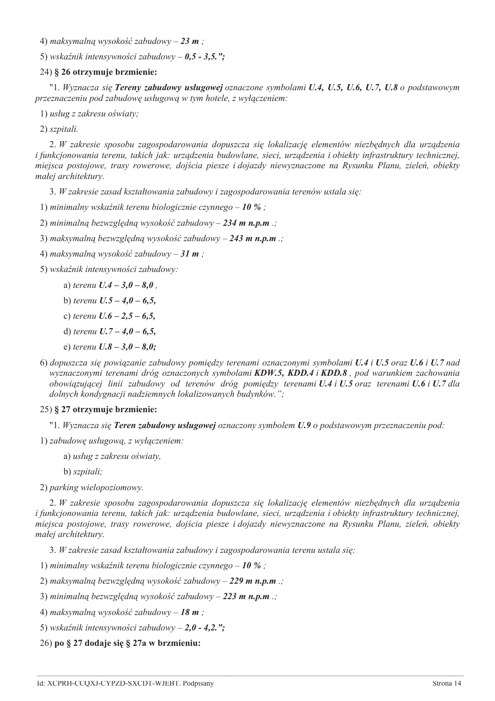4) maksymalną wysokość zabudowy – 23 m;

5) wskaźnik intensywności zabudowy –  $0.5$  - 3.5.":

# 24) § 26 otrzymuje brzmienie:

"1. Wyznacza się Tereny zabudowy usługowej oznaczone symbolami U.4, U.5, U.6, U.7, U.8 o podstawowym przeznaczeniu pod zabudowe usługowa w tym hotele, z wyłaczeniem:

1) usług z zakresu oświaty;

2) szpitali.

2. W zakresie sposobu zagospodarowania dopuszcza się lokalizację elementów niezbędnych dla urządzenia i funkcjonowania terenu, takich jak: urządzenia budowlane, sieci, urządzenia i obiekty infrastruktury technicznej, miejsca postojowe, trasy rowerowe, dojścia piesze i dojazdy niewyznaczone na Rysunku Planu, zieleń, obiekty małej architektury.

3. W zakresie zasad kształtowania zabudowy i zagospodarowania terenów ustala się:

1) minimalny wskaźnik terenu biologicznie czynnego – 10 %;

2) minimalną bezwzględną wysokość zabudowy – 234 m n.p.m .;

3) maksymalną bezwzględną wysokość zabudowy – 243 m n.p.m .;

4) maksymalną wysokość zabudowy – 31 m;

5) wskaźnik intensywności zabudowy:

- a) terenu  $U.4 3.0 8.0$ .
- b) terenu  $U.5 4.0 6.5$ ,
- c) terenu  $U.6 2.5 6.5$ .
- d) terenu  $U.7 4.0 6.5$ ,
- e) terenu  $U.8 3.0 8.0$ ;
- 6) dopuszcza się powiązanie zabudowy pomiędzy terenami oznaczonymi symbolami U.4 i U.5 oraz U.6 i U.7 nad wyznaczonymi terenami dróg oznaczonych symbolami KDW.5, KDD.4 i KDD.8, pod warunkiem zachowania obowiązującej linii zabudowy od terenów dróg pomiedzy terenami U.4 i U.5 oraz terenami U.6 i U.7 dla dolnych kondygnacji nadziemnych lokalizowanych budynków.";

# 25) § 27 otrzymuje brzmienie:

"1. Wyznacza sie Teren zabudowy usługowej oznaczony symbolem U.9 o podstawowym przeznaczeniu pod:

1) zabudowę usługową, z wyłączeniem:

a) usług z zakresu oświaty,

b) szpitali;

2) parking wielopoziomowy.

2. W zakresie sposobu zagospodarowania dopuszcza się lokalizację elementów niezbędnych dla urządzenia i funkcjonowania terenu, takich jak: urządzenia budowlane, sieci, urządzenia i obiekty infrastruktury technicznej, miejsca postojowe, trasy rowerowe, dojścia piesze i dojazdy niewyznaczone na Rysunku Planu, zieleń, obiekty małej architektury.

3. W zakresie zasad kształtowania zabudowy i zagospodarowania terenu ustala się:

1) minimalny wskaźnik terenu biologicznie czynnego – 10 %;

2) maksymalną bezwzględną wysokość zabudowy – 229 m n.p.m .;

- 3) minimalną bezwzględną wysokość zabudowy 223 m n.p.m .;
- 4) maksymalną wysokość zabudowy 18 m;
- 5) wskaźnik intensywności zabudowy  $2,0$  4,2.";

26) po § 27 dodaje się § 27a w brzmieniu: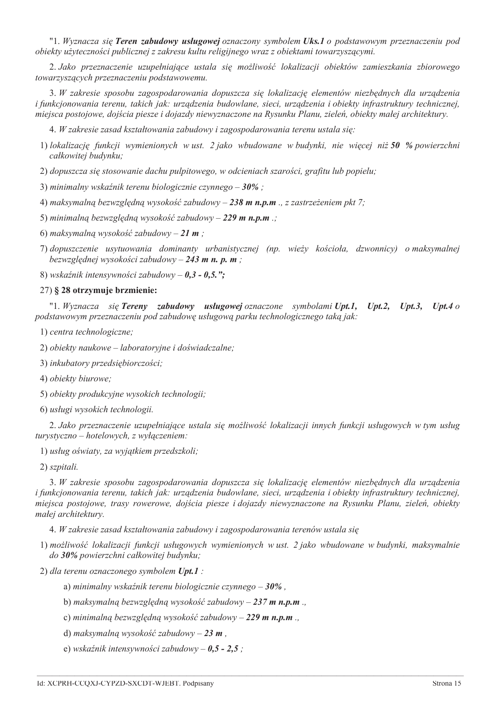"1. Wyznacza się Teren zabudowy usługowej oznaczony symbolem Uks.1 o podstawowym przeznaczeniu pod obiekty użyteczności publicznej z zakresu kultu religijnego wraz z obiektami towarzyszacymi.

2. Jako przeznaczenie uzupełniające ustala się możliwość lokalizacji obiektów zamieszkania zbiorowego towarzyszących przeznaczeniu podstawowemu.

3. W zakresie sposobu zagospodarowania dopuszcza się lokalizację elementów niezbędnych dla urządzenia i funkcjonowania terenu, takich jak: urządzenia budowlane, sieci, urządzenia i obiekty infrastruktury technicznej, miejsca postojowe, dojścia piesze i dojazdy niewyznaczone na Rysunku Planu, zieleń, obiekty małej architektury.

4. W zakresie zasad kształtowania zabudowy i zagospodarowania terenu ustala się:

1) lokalizacje funkcji wymienionych w ust. 2 jako wbudowane w budynki, nie więcej niż 50 % powierzchni całkowitej budynku;

2) dopuszcza się stosowanie dachu pulpitowego, w odcieniach szarości, grafitu lub popielu;

3) minimalny wskaźnik terenu biologicznie czynnego  $-30\%$ ;

4) maksymalną bezwzględną wysokość zabudowy – 238 m n.p.m., z zastrzeżeniem pkt 7;

5) minimalną bezwzględną wysokość zabudowy – 229 m n.p.m .;

6) maksymalną wysokość zabudowy – 21 m;

7) dopuszczenie usytuowania dominanty urbanistycznej (np. wieży kościoła, dzwonnicy) o maksymalnej bezwzględnej wysokości zabudowy – 243 m n. p. m;

8) wskaźnik intensywności zabudowy –  $0,3 - 0,5$ .";

#### 27) § 28 otrzymuje brzmienie:

"1. Wyznacza się Tereny zabudowy usługowej oznaczone symbolami Upt.1,  $$  $$ Upt.4  $o$ podstawowym przeznaczeniu pod zabudowę usługową parku technologicznego taką jak:

1) centra technologiczne;

2) obiekty naukowe – laboratoryjne i doświadczalne;

3) inkubatory przedsiębiorczości;

4) obiekty biurowe:

5) obiekty produkcyjne wysokich technologii;

6) usługi wysokich technologii.

2. Jako przeznaczenie uzupełniające ustala się możliwość lokalizacji innych funkcji usługowych w tym usług turystyczno – hotelowych, z wyłączeniem:

1) usług oświaty, za wyjątkiem przedszkoli;

2) szpitali.

3. W zakresie sposobu zagospodarowania dopuszcza się lokalizację elementów niezbędnych dla urządzenia i funkcionowania terenu, takich jak: urzadzenia budowlane, sieci, urzadzenia i obiekty infrastruktury technicznej, miejsca postojowe, trasy rowerowe, dojścia piesze i dojazdy niewyznaczone na Rysunku Planu, zieleń, obiekty małej architektury.

4. W zakresie zasad kształtowania zabudowy i zagospodarowania terenów ustala się

1) możliwość lokalizacji funkcji usługowych wymienionych w ust. 2 jako wbudowane w budynki, maksymalnie do 30% powierzchni całkowitej budynku;

2) dla terenu oznaczonego symbolem Upt.1 :

a) minimalny wskaźnik terenu biologicznie czynnego  $-30\%$ ,

b) maksymalną bezwzględną wysokość zabudowy – 237 m n.p.m.

c) minimalną bezwzględną wysokość zabudowy - 229 m n.p.m ..

d) maksymalną wysokość zabudowy – 23 m.

e) wskaźnik intensywności zabudowy –  $0,5$  -  $2,5$ ;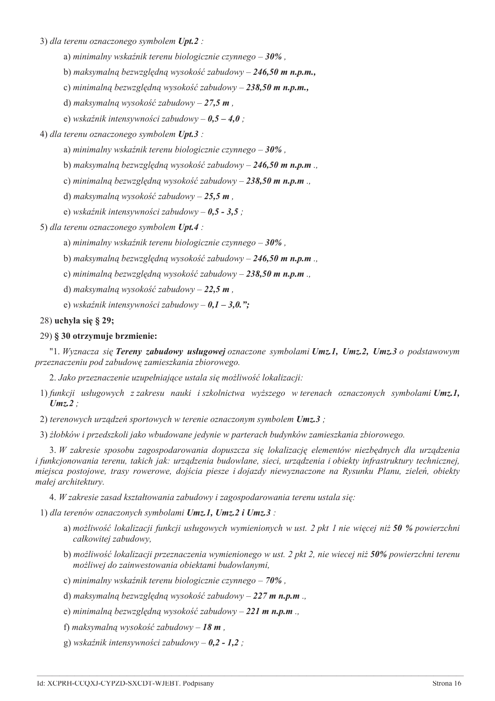3) dla terenu oznaczonego symbolem Upt.2 :

- a) minimalny wskaźnik terenu biologicznie czynnego  $-30\%$ ,
- b) maksymalną bezwzględną wysokość zabudowy 246,50 m n.p.m.,
- c) minimalna bezwzgledna wysokość zabudowy 238,50 m n.p.m.,
- d) maksymalną wysokość zabudowy 27,5 m,
- e) wskaźnik intensywności zabudowy  $0.5 4.0$ ;

# 4) dla terenu oznaczonego symbolem Upt.3 :

- a) minimalny wskaźnik terenu biologicznie czynnego  $-30\%$ ,
- b) maksymalną bezwzględną wysokość zabudowy 246,50 m n.p.m.,
- c) minimalną bezwzględną wysokość zabudowy 238,50 m n.p.m.,
- d) maksymalna wysokość zabudowy 25,5 m.
- e) wskaźnik intensywności zabudowy  $0,5$   $3,5$ ;

5) dla terenu oznaczonego symbolem Upt.4 :

- a) minimalny wskaźnik terenu biologicznie czynnego  $-30\%$ ,
- b) maksymalną bezwzględną wysokość zabudowy 246,50 m n.p.m.,
- c) minimalną bezwzględną wysokość zabudowy 238,50 m n.p.m.
- d) maksymalna wysokość zabudowy 22.5 m.
- e) wskaźnik intensywności zabudowy  $0,1 3,0.$ ";

## 28) uchyla się § 29;

# 29) § 30 otrzymuje brzmienie:

"1. Wyznacza się Tereny zabudowy usługowej oznaczone symbolami Umz.1, Umz.2, Umz.3 o podstawowym przeznaczeniu pod zabudowę zamieszkania zbiorowego.

2. Jako przeznaczenie uzupełniające ustala się możliwość lokalizacji:

- 1) funkcji usługowych z zakresu nauki i szkolnictwa wyższego w terenach oznaczonych symbolami Umz.1,  $Umz.2$ :
- 2) terenowych urządzeń sportowych w terenie oznaczonym symbolem Umz.3;

3) żłobków i przedszkoli jako wbudowane jedynie w parterach budynków zamieszkania zbiorowego.

3. W zakresie sposobu zagospodarowania dopuszcza się lokalizację elementów niezbędnych dla urządzenia i funkcjonowania terenu, takich jak: urządzenia budowlane, sieci, urządzenia i obiekty infrastruktury technicznej, miejsca postojowe, trasy rowerowe, dojścia piesze i dojazdy niewyznaczone na Rysunku Planu, zieleń, obiekty małej architektury.

4. W zakresie zasad kształtowania zabudowy i zagospodarowania terenu ustala się:

1) dla terenów oznaczonych symbolami  $U$ mz.1,  $U$ mz.2 i  $U$ mz.3 :

- a) możliwość lokalizacji funkcji usługowych wymienionych w ust. 2 pkt 1 nie więcej niż 50 % powierzchni całkowitej zabudowy,
- b) możliwość lokalizacji przeznaczenia wymienionego w ust. 2 pkt 2, nie wiecej niż 50% powierzchni terenu możliwej do zainwestowania obiektami budowlanymi,
- c) minimalny wskaźnik terenu biologicznie czynnego  $70\%$ ,
- d) maksymalną bezwzględną wysokość zabudowy 227 m n.p.m.,
- e) minimalną bezwzględną wysokość zabudowy 221 m n.p.m.
- f) maksymalną wysokość zabudowy 18 m,
- g) wskaźnik intensywności zabudowy  $0.2$  1.2;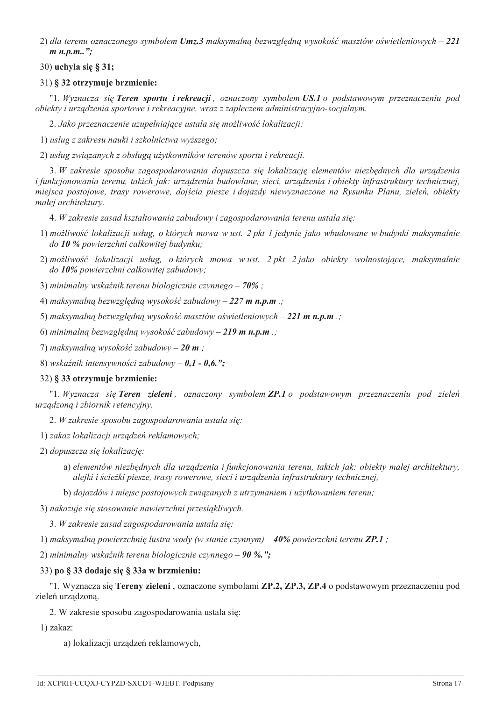2) dla terenu oznaczonego symbolem Umz.3 maksymalną bezwzględną wysokość masztów oświetleniowych – 221  $m$  n.p.m..":

# 30) uchyla się § 31;

# 31) § 32 otrzymuje brzmienie:

"1. Wyznacza sie Teren sportu i rekreacji, oznaczony symbolem US.1 o podstawowym przeznaczeniu pod obiekty i urządzenia sportowe i rekreacyjne, wraz z zapleczem administracyjno-socjalnym.

2. Jako przeznaczenie uzupełniające ustala się możliwość lokalizacji:

1) usług z zakresu nauki i szkolnictwa wyższego;

2) usług związanych z obsługą użytkowników terenów sportu i rekreacji.

3. W zakresie sposobu zagospodarowania dopuszcza się lokalizację elementów niezbednych dla urządzenia i funkcjonowania terenu, takich jak: urządzenia budowlane, sieci, urządzenia i obiekty infrastruktury technicznej, miejsca postojowe, trasy rowerowe, dojścia piesze i dojazdy niewyznaczone na Rysunku Planu, zieleń, obiekty małej architektury.

4. W zakresie zasad kształtowania zabudowy i zagospodarowania terenu ustala się:

- 1) możliwość lokalizacji usług, o których mowa w ust. 2 pkt 1 jedynie jako wbudowane w budynki maksymalnie do 10 % powierzchni całkowitej budynku;
- 2) możliwość lokalizacji usług, októrych mowa w ust. 2 pkt 2 jako obiekty wolnostojące, maksymalnie do 10% powierzchni całkowitej zabudowy;
- 3) minimalny wskaźnik terenu biologicznie czynnego  $70\%$ ;
- 4) maksymalną bezwzględną wysokość zabudowy 227 m n.p.m .;
- 5) maksymalną bezwzględną wysokość masztów oświetleniowych 221 m n.p.m .;
- 6) minimalną bezwzględną wysokość zabudowy 219 m n.p.m .;
- 7) maksymalną wysokość zabudowy 20 m;
- 8) wskaźnik intensywności zabudowy  $0,1 0,6.$ ";

## 32) § 33 otrzymuie brzmienie:

"1. Wyznacza się Teren zieleni, oznaczony symbolem ZP.1 o podstawowym przeznaczeniu pod zieleń urządzoną i zbiornik retencyjny.

- 2. W zakresie sposobu zagospodarowania ustala się:
- 1) zakaz lokalizacji urządzeń reklamowych;
- 2) dopuszcza się lokalizację:
	- a) elementów niezbędnych dla urządzenia i funkcjonowania terenu, takich jak: obiekty małej architektury, alejki i ścieżki piesze, trasy rowerowe, sieci i urządzenia infrastruktury technicznej,
	- b) dojazdów i miejsc postojowych związanych z utrzymaniem i użytkowaniem terenu;
- 3) nakazuje się stosowanie nawierzchni przesiąkliwych.
	- 3. W zakresie zasad zagospodarowania ustala się:
- 1) maksymalną powierzchnię lustra wody (w stanie czynnym)  $40\%$  powierzchni terenu ZP.1;

2) minimalny wskaźnik terenu biologicznie czynnego – 90 %.";

# 33) po § 33 dodaje się § 33a w brzmieniu:

"1. Wyznacza się Tereny zieleni, oznaczone symbolami ZP.2, ZP.3, ZP.4 o podstawowym przeznaczeniu pod zieleń urządzoną.

- 2. W zakresie sposobu zagospodarowania ustala się:
- 1) zakaz:
	- a) lokalizacji urządzeń reklamowych,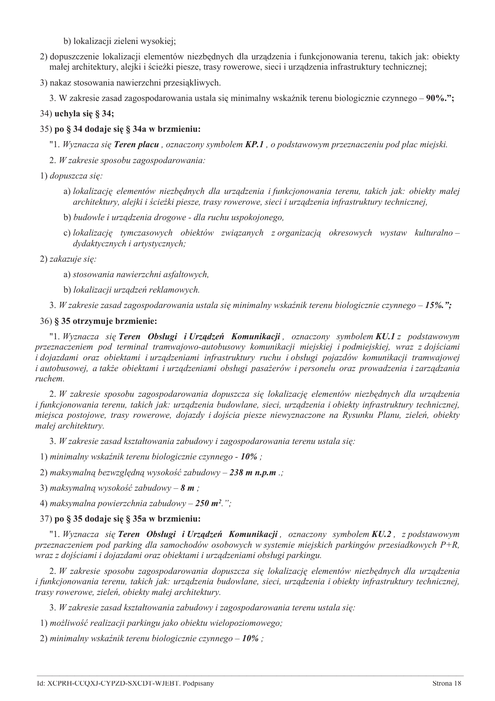b) lokalizacji zieleni wysokiej;

- 2) dopuszczenie lokalizacji elementów niezbednych dla urządzenia i funkcjonowania terenu, takich jak: objekty małej architektury, alejki i ścieżki piesze, trasy rowerowe, sieci i urządzenia infrastruktury technicznej;
- 3) nakaz stosowania nawierzchni przesiakliwych.
	- 3. W zakresie zasad zagospodarowania ustala się minimalny wskaźnik terenu biologicznie czynnego 90%.";

# 34) uchyla się § 34;

# 35) po § 34 dodaje się § 34a w brzmieniu:

"1. Wyznacza się Teren placu, oznaczony symbolem KP.1, o podstawowym przeznaczeniu pod plac miejski.

2. W zakresie sposobu zagospodarowania:

## 1) dopuszcza się:

- a) lokalizację elementów niezbędnych dla urządzenia i funkcjonowania terenu, takich jak: obiekty małej architektury, alejki i ścieżki piesze, trasy rowerowe, sieci i urządzenia infrastruktury technicznej,
- b) budowle i urządzenia drogowe dla ruchu uspokojonego,
- c) lokalizację tymczasowych obiektów związanych z organizacją okresowych wystaw kulturalnodydaktycznych i artystycznych;

2) zakazuje się:

- a) stosowania nawierzchni asfaltowych,
- b) lokalizacji urządzeń reklamowych.
- 3. W zakresie zasad zagospodarowania ustala sie minimalny wskaźnik terenu biologicznie czynnego 15%.";

## 36) § 35 otrzymuje brzmienie:

"1. Wyznacza się Teren Obsługi i Urządzeń Komunikacji, oznaczony symbolem KU.1 z podstawowym przeznaczeniem pod terminal tramwajowo-autobusowy komunikacji miejskiej i podmiejskiej, wraz z dojściami i dojazdami oraz obiektami i urządzeniami infrastruktury ruchu i obsługi pojazdów komunikacji tramwajowej i autobusowej, a także obiektami i urządzeniami obsługi pasażerów i personelu oraz prowadzenia i zarządzania ruchem.

2. W zakresie sposobu zagospodarowania dopuszcza się lokalizację elementów niezbędnych dla urządzenia i funkcjonowania terenu, takich jak: urządzenia budowlane, sieci, urządzenia i obiekty infrastruktury technicznej, miejsca postojowe, trasy rowerowe, dojazdy i dojścia piesze niewyznaczone na Rysunku Planu, zieleń, obiekty małej architektury.

3. W zakresie zasad kształtowania zabudowy i zagospodarowania terenu ustala się:

1) minimalny wskaźnik terenu biologicznie czynnego - 10%;

2) maksymalną bezwzględną wysokość zabudowy – 238 m n.p.m .;

3) maksymalna wysokość zabudowy – 8  $m$ :

4) maksymalna powierzchnia zabudowy – 250 m<sup>2</sup>.";

# 37) po § 35 dodaje się § 35a w brzmieniu:

"1. Wyznacza sie Teren Obsługi i Urzadzeń Komunikacji, oznaczony symbolem KU.2, z podstawowym przeznaczeniem pod parking dla samochodów osobowych w systemie miejskich parkingów przesiadkowych  $P+R$ , wraz z dojściami i dojazdami oraz obiektami i urządzeniami obsługi parkingu.

2. W zakresie sposobu zagospodarowania dopuszcza się lokalizację elementów niezbędnych dla urządzenia i funkcjonowania terenu, takich jak: urządzenia budowlane, sieci, urządzenia i obiekty infrastruktury technicznej, trasy rowerowe, zieleń, obiekty małej architektury.

3. W zakresie zasad kształtowania zabudowy i zagospodarowania terenu ustala sie:

1) możliwość realizacji parkingu jako obiektu wielopoziomowego;

2) minimalny wskaźnik terenu biologicznie czynnego –  $10\%$ ;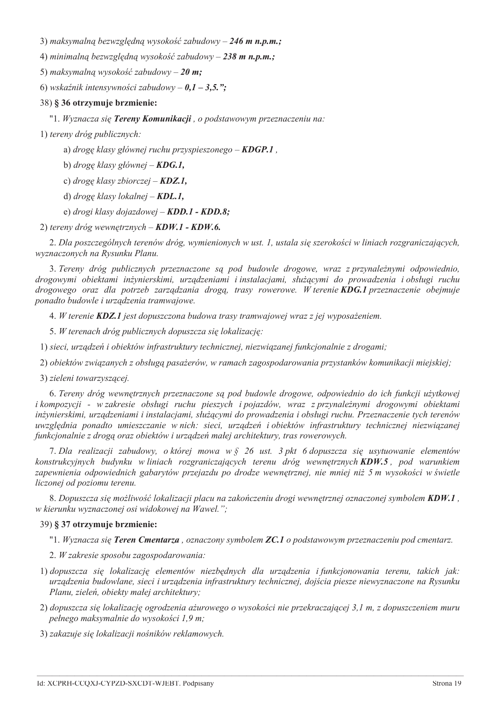3) maksymalną bezwzględną wysokość zabudowy – 246 m n.p.m.;

4) minimalną bezwzględną wysokość zabudowy – 238 m n.p.m.;

5) maksymalną wysokość zabudowy – 20 m;

6) wskaźnik intensywności zabudowy –  $0,1 - 3,5,$ ":

#### 38) § 36 otrzymuje brzmienie:

"1. Wyznacza się Tereny Komunikacji, o podstawowym przeznaczeniu na:

1) tereny dróg publicznych:

a) drogę klasy głównej ruchu przyspieszonego -  $KDGP.1$ ,

b) droge klasy głównej – **KDG.1**,

c) drogę klasy zbiorczej – **KDZ.1**,

d) droge klasy lokalnej – **KDL.1**,

e) drogi klasy dojazdowej -  $KDD.1 - KDD.8;$ 

2) tereny dróg wewnętrznych - KDW.1 - KDW.6.

2. Dla poszczególnych terenów dróg, wymienionych w ust. 1, ustala się szerokości w liniach rozgraniczających, wyznaczonych na Rysunku Planu.

3. Tereny dróg publicznych przeznaczone są pod budowle drogowe, wraz z przynależnymi odpowiednio, drogowymi obiektami inżynierskimi, urzadzeniami i instalaciami, służacymi do prowadzenia i obsługi ruchu drogowego oraz dla potrzeb zarządzania drogą, trasy rowerowe. W terenie KDG.1 przeznaczenie obejmuje ponadto budowle i urządzenia tramwajowe.

4. W terenie **KDZ.1** jest dopuszczona budowa trasy tramwajowej wraz z jej wyposażeniem.

5. W terenach dróg publicznych dopuszcza się lokalizację:

1) sieci, urządzeń i obiektów infrastruktury technicznej, niezwiązanej funkcjonalnie z drogami;

2) obiektów związanych z obsługą pasażerów, w ramach zagospodarowania przystanków komunikacji miejskiej;

3) zieleni towarzyszącej.

6. Tereny dróg wewnętrznych przeznaczone są pod budowle drogowe, odpowiednio do ich funkcji użytkowej i kompozycji - w zakresie obsługi ruchu pieszych i pojazdów, wraz z przynależnymi drogowymi obiektami inżynierskimi, urządzeniami i instalacjami, służącymi do prowadzenia i obsługi ruchu. Przeznaczenie tych terenów uwzglednia ponadto umieszczanie w nich: sieci, urządzeń i obiektów infrastruktury technicznej niezwiązanej funkcjonalnie z drogą oraz obiektów i urządzeń małej architektury, tras rowerowych.

7. Dla realizacji zabudowy, o której mowa w § 26 ust. 3 pkt 6 dopuszcza się usytuowanie elementów konstrukcyjnych budynku w liniach rozgraniczających terenu dróg wewnętrznych **KDW.5**, pod warunkiem zapewnienia odpowiednich gabarytów przejazdu po drodze wewnętrznej, nie mniej niż 5 m wysokości w świetle liczonej od poziomu terenu.

8. Dopuszcza się możliwość lokalizacji placu na zakończeniu drogi wewnętrznej oznaczonej symbolem KDW.1, w kierunku wyznaczonej osi widokowej na Wawel.":

# 39) § 37 otrzymuje brzmienie:

"1. Wyznacza się Teren Cmentarza, oznaczony symbolem ZC.1 o podstawowym przeznaczeniu pod cmentarz.

2. W zakresie sposobu zagospodarowania:

- 1) dopuszcza się lokalizację elementów niezbędnych dla urządzenia i funkcjonowania terenu, takich jak: urządzenia budowlane, sieci i urządzenia infrastruktury technicznej, dojścia piesze niewyznaczone na Rysunku Planu, zieleń, obiekty małej architektury:
- 2) dopuszcza się lokalizację ogrodzenia ażurowego o wysokości nie przekraczającej 3,1 m, z dopuszczeniem muru pełnego maksymalnie do wysokości 1,9 m;
- 3) zakazuje się lokalizacji nośników reklamowych.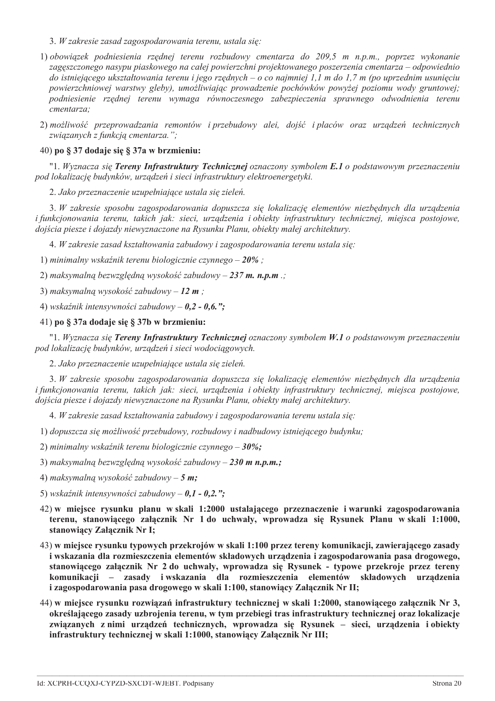- 3. W zakresie zasad zagospodarowania terenu, ustala się:
- 1) obowiązek podniesienia rzędnej terenu rozbudowy cmentarza do 209,5 m n.p.m., poprzez wykonanie zagęszczonego nasypu piaskowego na całej powierzchni projektowanego poszerzenia cmentarza – odpowiednio do istniejącego ukształtowania terenu i jego rzędnych – o co najmniej 1,1 m do 1,7 m (po uprzednim usunięciu powierzchniowej warstwy gleby), umożliwiając prowadzenie pochówków powyżej poziomu wody gruntowej; podniesienie rzędnej terenu wymaga równoczesnego zabezpieczenia sprawnego odwodnienia terenu cmentarza:
- 2) możliwość przeprowadzania remontów i przebudowy alej, dojść i placów oraz urzadzeń technicznych związanych z funkcją cmentarzą.":

# 40) po § 37 dodaje się § 37a w brzmieniu:

"1. Wyznacza się Tereny Infrastruktury Technicznej oznaczony symbolem E.1 o podstawowym przeznaczeniu pod lokalizację budynków, urządzeń i sieci infrastruktury elektroenergetyki.

2. Jako przeznaczenie uzupełniające ustala się zieleń.

3. W zakresie sposobu zagospodarowania dopuszcza się lokalizację elementów niezbędnych dla urządzenia i funkcjonowania terenu, takich jak: sieci, urządzenia i obiekty infrastruktury technicznej, miejsca postojowe, dojścia piesze i dojazdy niewyznaczone na Rysunku Planu, obiekty małej architektury.

4. W zakresię zasad kształtowania zabudowy i zagospodarowania terenu ustala się:

1) minimalny wskaźnik terenu biologicznie czynnego –  $20\%$ :

2) maksymalną bezwzględną wysokość zabudowy – 237 m. n.p.m .;

3) maksymalna wysokość zabudowy – 12  $m$ ;

4) wskaźnik intensywności zabudowy –  $0.2 - 0.6$ .";

## 41) po § 37a dodaje się § 37b w brzmieniu:

"1. Wyznacza się Tereny Infrastruktury Technicznej oznaczony symbolem W.1 o podstawowym przeznaczeniu pod lokalizację budynków, urządzeń i sieci wodociągowych.

2. Jako przeznaczenie uzupełniające ustala się zieleń.

3. W zakresie sposobu zagospodarowania dopuszcza się lokalizacje elementów niezbednych dla urzadzenia i funkcjonowania terenu, takich jak: sieci, urządzenia i obiekty infrastruktury technicznej, miejsca postojowe, dojścia piesze i dojazdy niewyznaczone na Rysunku Planu, obiekty małej architektury.

4. W zakresie zasad kształtowania zabudowy i zagospodarowania terenu ustala się:

1) dopuszcza się możliwość przebudowy, rozbudowy i nadbudowy istniejącego budynku;

2) minimalny wskaźnik terenu biologicznie czynnego  $-30\%$ ;

3) maksymalna bezwzgledna wysokość zabudowy – 230 m n.p.m.:

4) maksymalną wysokość zabudowy – 5 m;

- 5) wskaźnik intensywności zabudowy  $0,1$   $0,2,$ ";
- 42) w miejsce rysunku planu w skali 1:2000 ustalającego przeznaczenie i warunki zagospodarowania terenu, stanowiącego załącznik Nr 1 do uchwały, wprowadza się Rysunek Planu w skali 1:1000, stanowiący Załącznik Nr I;
- 43) w miejsce rysunku typowych przekrojów w skali 1:100 przez tereny komunikacji, zawierającego zasady i wskazania dla rozmieszczenia elementów składowych urządzenia i zagospodarowania pasa drogowego, stanowiącego załącznik Nr 2 do uchwały, wprowadza się Rysunek - typowe przekroje przez tereny komunikacji – zasady i wskazania dla rozmieszczenia elementów składowych urządzenia i zagospodarowania pasa drogowego w skali 1:100, stanowiący Załącznik Nr II;
- 44) w miejsce rysunku rozwiązań infrastruktury technicznej w skali 1:2000, stanowiącego załącznik Nr 3, określającego zasady uzbrojenia terenu, w tym przebiegi tras infrastruktury technicznej oraz lokalizacje związanych z nimi urządzeń technicznych, wprowadza się Rysunek – sieci, urządzenia i obiekty infrastruktury technicznej w skali 1:1000, stanowiący Załącznik Nr III;